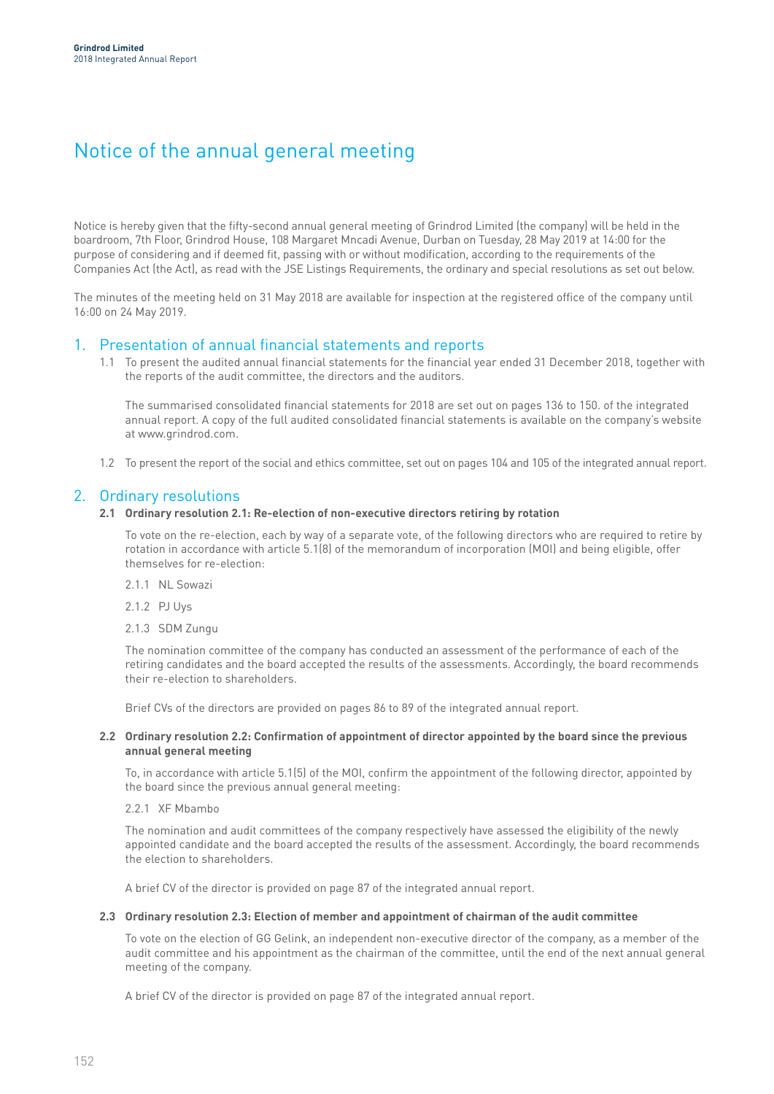# Notice of the annual general meeting

Notice is hereby given that the fifty-second annual general meeting of Grindrod Limited (the company) will be held in the boardroom, 7th Floor, Grindrod House, 108 Margaret Mncadi Avenue, Durban on Tuesday, 28 May 2019 at 14:00 for the purpose of considering and if deemed fit, passing with or without modification, according to the requirements of the Companies Act (the Act), as read with the JSE Listings Requirements, the ordinary and special resolutions as set out below.

The minutes of the meeting held on 31 May 2018 are available for inspection at the registered office of the company until 16:00 on 24 May 2019.

## 1. Presentation of annual financial statements and reports

1.1 To present the audited annual financial statements for the financial year ended 31 December 2018, together with the reports of the audit committee, the directors and the auditors.

The summarised consolidated financial statements for 2018 are set out on pages 136 to 150. of the integrated annual report. A copy of the full audited consolidated financial statements is available on the company's website at www.grindrod.com.

1.2 To present the report of the social and ethics committee, set out on pages 104 and 105 of the integrated annual report.

## 2. Ordinary resolutions

## **2.1 Ordinary resolution 2.1: Re-election of non-executive directors retiring by rotation**

To vote on the re-election, each by way of a separate vote, of the following directors who are required to retire by rotation in accordance with article 5.1(8) of the memorandum of incorporation (MOI) and being eligible, offer themselves for re-election:

- 2.1.1 NL Sowazi
- 2.1.2 PJ Uys
- 2.1.3 SDM Zungu

The nomination committee of the company has conducted an assessment of the performance of each of the retiring candidates and the board accepted the results of the assessments. Accordingly, the board recommends their re-election to shareholders.

Brief CVs of the directors are provided on pages 86 to 89 of the integrated annual report.

## **2.2 Ordinary resolution 2.2: Confirmation of appointment of director appointed by the board since the previous annual general meeting**

To, in accordance with article 5.1(5) of the MOI, confirm the appointment of the following director, appointed by the board since the previous annual general meeting:

2.2.1 XF Mbambo

The nomination and audit committees of the company respectively have assessed the eligibility of the newly appointed candidate and the board accepted the results of the assessment. Accordingly, the board recommends the election to shareholders.

A brief CV of the director is provided on page 87 of the integrated annual report.

## **2.3 Ordinary resolution 2.3: Election of member and appointment of chairman of the audit committee**

To vote on the election of GG Gelink, an independent non-executive director of the company, as a member of the audit committee and his appointment as the chairman of the committee, until the end of the next annual general meeting of the company.

A brief CV of the director is provided on page 87 of the integrated annual report.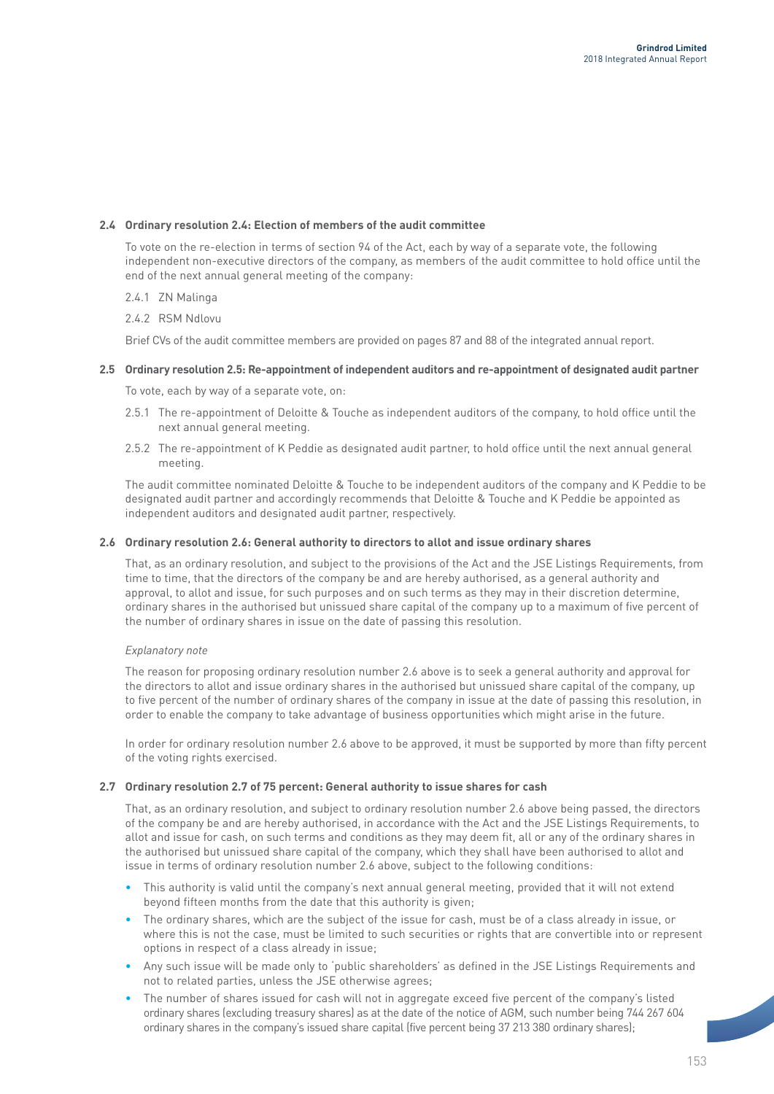## **2.4 Ordinary resolution 2.4: Election of members of the audit committee**

To vote on the re-election in terms of section 94 of the Act, each by way of a separate vote, the following independent non-executive directors of the company, as members of the audit committee to hold office until the end of the next annual general meeting of the company:

- 2.4.1 ZN Malinga
- 2.4.2 RSM Ndlovu

Brief CVs of the audit committee members are provided on pages 87 and 88 of the integrated annual report.

## **2.5 Ordinary resolution 2.5: Re-appointment of independent auditors and re-appointment of designated audit partner**

To vote, each by way of a separate vote, on:

- 2.5.1 The re-appointment of Deloitte & Touche as independent auditors of the company, to hold office until the next annual general meeting.
- 2.5.2 The re-appointment of K Peddie as designated audit partner, to hold office until the next annual general meeting.

The audit committee nominated Deloitte & Touche to be independent auditors of the company and K Peddie to be designated audit partner and accordingly recommends that Deloitte & Touche and K Peddie be appointed as independent auditors and designated audit partner, respectively.

### **2.6 Ordinary resolution 2.6: General authority to directors to allot and issue ordinary shares**

That, as an ordinary resolution, and subject to the provisions of the Act and the JSE Listings Requirements, from time to time, that the directors of the company be and are hereby authorised, as a general authority and approval, to allot and issue, for such purposes and on such terms as they may in their discretion determine, ordinary shares in the authorised but unissued share capital of the company up to a maximum of five percent of the number of ordinary shares in issue on the date of passing this resolution.

## *Explanatory note*

The reason for proposing ordinary resolution number 2.6 above is to seek a general authority and approval for the directors to allot and issue ordinary shares in the authorised but unissued share capital of the company, up to five percent of the number of ordinary shares of the company in issue at the date of passing this resolution, in order to enable the company to take advantage of business opportunities which might arise in the future.

In order for ordinary resolution number 2.6 above to be approved, it must be supported by more than fifty percent of the voting rights exercised.

### **2.7 Ordinary resolution 2.7 of 75 percent: General authority to issue shares for cash**

That, as an ordinary resolution, and subject to ordinary resolution number 2.6 above being passed, the directors of the company be and are hereby authorised, in accordance with the Act and the JSE Listings Requirements, to allot and issue for cash, on such terms and conditions as they may deem fit, all or any of the ordinary shares in the authorised but unissued share capital of the company, which they shall have been authorised to allot and issue in terms of ordinary resolution number 2.6 above, subject to the following conditions:

- This authority is valid until the company's next annual general meeting, provided that it will not extend beyond fifteen months from the date that this authority is given;
- The ordinary shares, which are the subject of the issue for cash, must be of a class already in issue, or where this is not the case, must be limited to such securities or rights that are convertible into or represent options in respect of a class already in issue;
- Any such issue will be made only to 'public shareholders' as defined in the JSE Listings Requirements and not to related parties, unless the JSE otherwise agrees;
- The number of shares issued for cash will not in aggregate exceed five percent of the company's listed ordinary shares (excluding treasury shares) as at the date of the notice of AGM, such number being 744 267 604 ordinary shares in the company's issued share capital (five percent being 37 213 380 ordinary shares);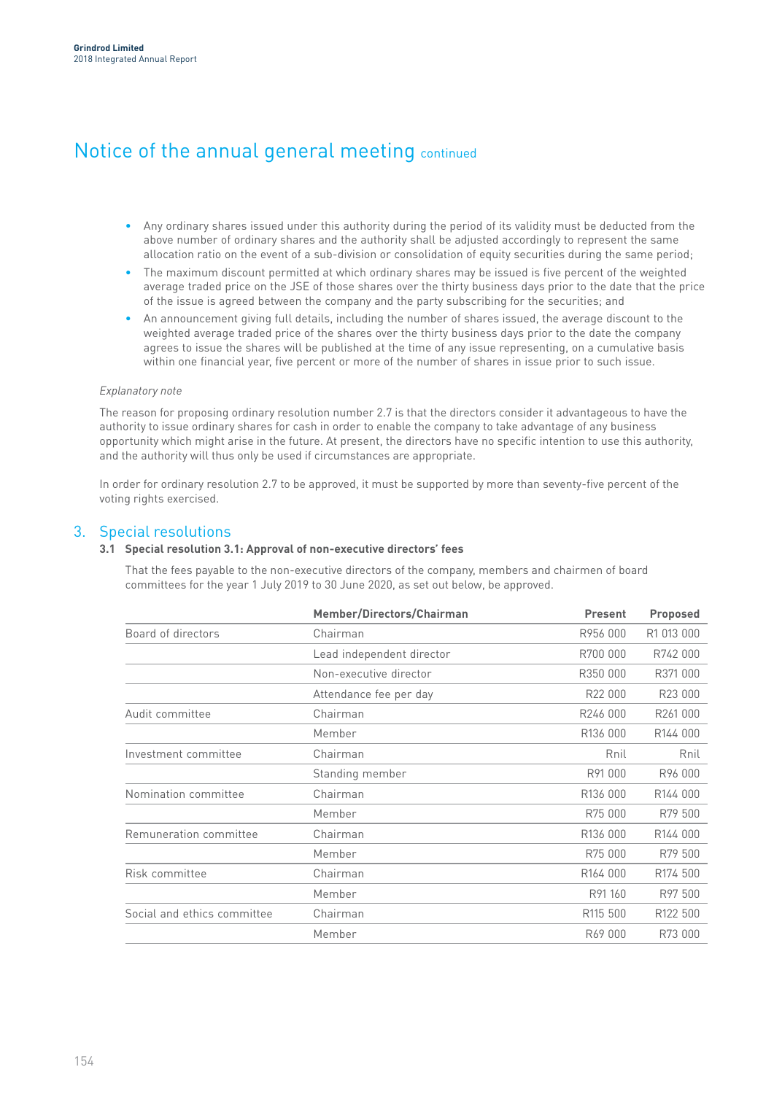## Notice of the annual general meeting continued

- Any ordinary shares issued under this authority during the period of its validity must be deducted from the above number of ordinary shares and the authority shall be adjusted accordingly to represent the same allocation ratio on the event of a sub-division or consolidation of equity securities during the same period;
- The maximum discount permitted at which ordinary shares may be issued is five percent of the weighted average traded price on the JSE of those shares over the thirty business days prior to the date that the price of the issue is agreed between the company and the party subscribing for the securities; and
- An announcement giving full details, including the number of shares issued, the average discount to the weighted average traded price of the shares over the thirty business days prior to the date the company agrees to issue the shares will be published at the time of any issue representing, on a cumulative basis within one financial year, five percent or more of the number of shares in issue prior to such issue.

### *Explanatory note*

The reason for proposing ordinary resolution number 2.7 is that the directors consider it advantageous to have the authority to issue ordinary shares for cash in order to enable the company to take advantage of any business opportunity which might arise in the future. At present, the directors have no specific intention to use this authority, and the authority will thus only be used if circumstances are appropriate.

In order for ordinary resolution 2.7 to be approved, it must be supported by more than seventy-five percent of the voting rights exercised.

## 3. Special resolutions

## **3.1 Special resolution 3.1: Approval of non-executive directors' fees**

That the fees payable to the non-executive directors of the company, members and chairmen of board committees for the year 1 July 2019 to 30 June 2020, as set out below, be approved.

| Member/Directors/Chairman | <b>Present</b>       | <b>Proposed</b>      |
|---------------------------|----------------------|----------------------|
| Chairman                  | R956 000             | R1 013 000           |
| Lead independent director | R700 000             | R742 000             |
| Non-executive director    | R350 000             | R371 000             |
| Attendance fee per day    | R22 000              | R23 000              |
| Chairman                  | R246 000             | R261000              |
| Member                    | R136 000             | R144 000             |
| Chairman                  | Rnil                 | Rnil                 |
| Standing member           | R91 000              | R96 000              |
| Chairman                  | R136 000             | R144 000             |
| Member                    | R75 000              | R79 500              |
| Chairman                  | R136 000             | R144 000             |
| Member                    | R75 000              | R79 500              |
| Chairman                  | R <sub>164</sub> 000 | R <sub>174</sub> 500 |
| Member                    | R91 160              | R97 500              |
| Chairman                  | R115 500             | R <sub>122</sub> 500 |
| Member                    | R69 000              | R73 000              |
|                           |                      |                      |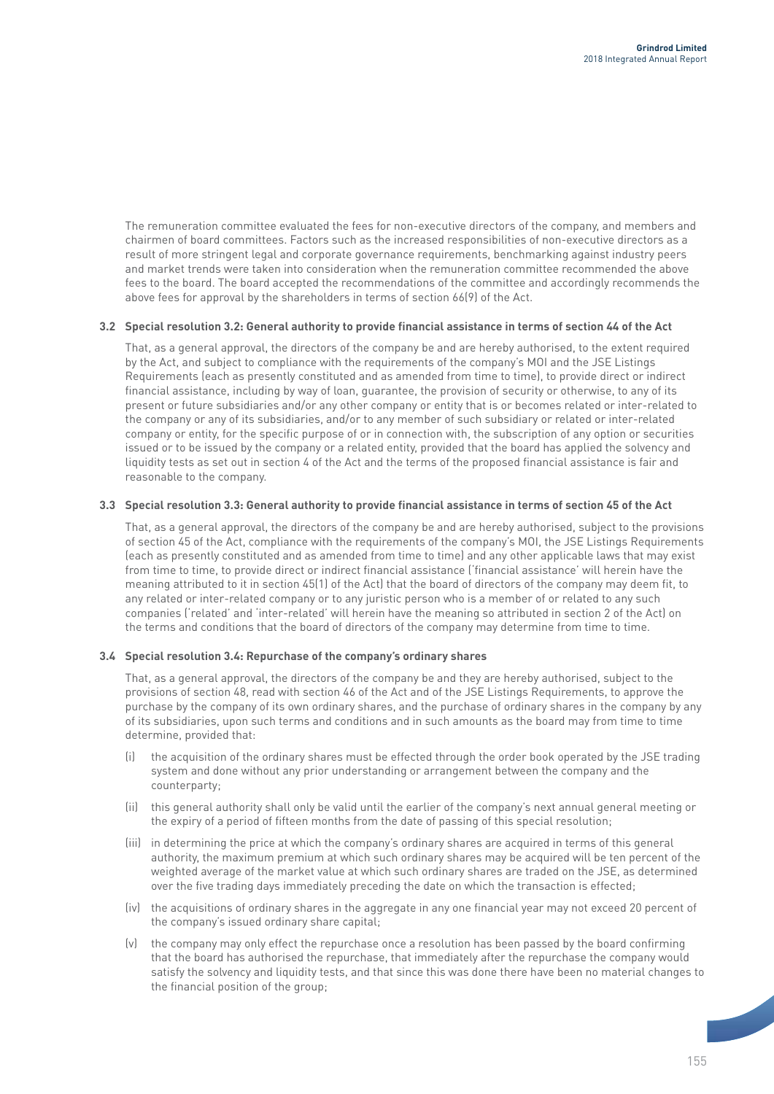The remuneration committee evaluated the fees for non-executive directors of the company, and members and chairmen of board committees. Factors such as the increased responsibilities of non-executive directors as a result of more stringent legal and corporate governance requirements, benchmarking against industry peers and market trends were taken into consideration when the remuneration committee recommended the above fees to the board. The board accepted the recommendations of the committee and accordingly recommends the above fees for approval by the shareholders in terms of section 66(9) of the Act.

## **3.2 Special resolution 3.2: General authority to provide financial assistance in terms of section 44 of the Act**

That, as a general approval, the directors of the company be and are hereby authorised, to the extent required by the Act, and subject to compliance with the requirements of the company's MOI and the JSE Listings Requirements (each as presently constituted and as amended from time to time), to provide direct or indirect financial assistance, including by way of loan, guarantee, the provision of security or otherwise, to any of its present or future subsidiaries and/or any other company or entity that is or becomes related or inter-related to the company or any of its subsidiaries, and/or to any member of such subsidiary or related or inter-related company or entity, for the specific purpose of or in connection with, the subscription of any option or securities issued or to be issued by the company or a related entity, provided that the board has applied the solvency and liquidity tests as set out in section 4 of the Act and the terms of the proposed financial assistance is fair and reasonable to the company.

## **3.3 Special resolution 3.3: General authority to provide financial assistance in terms of section 45 of the Act**

That, as a general approval, the directors of the company be and are hereby authorised, subject to the provisions of section 45 of the Act, compliance with the requirements of the company's MOI, the JSE Listings Requirements (each as presently constituted and as amended from time to time) and any other applicable laws that may exist from time to time, to provide direct or indirect financial assistance ('financial assistance' will herein have the meaning attributed to it in section 45(1) of the Act) that the board of directors of the company may deem fit, to any related or inter-related company or to any juristic person who is a member of or related to any such companies ('related' and 'inter-related' will herein have the meaning so attributed in section 2 of the Act) on the terms and conditions that the board of directors of the company may determine from time to time.

## **3.4 Special resolution 3.4: Repurchase of the company's ordinary shares**

That, as a general approval, the directors of the company be and they are hereby authorised, subject to the provisions of section 48, read with section 46 of the Act and of the JSE Listings Requirements, to approve the purchase by the company of its own ordinary shares, and the purchase of ordinary shares in the company by any of its subsidiaries, upon such terms and conditions and in such amounts as the board may from time to time determine, provided that:

- (i) the acquisition of the ordinary shares must be effected through the order book operated by the JSE trading system and done without any prior understanding or arrangement between the company and the counterparty;
- (ii) this general authority shall only be valid until the earlier of the company's next annual general meeting or the expiry of a period of fifteen months from the date of passing of this special resolution;
- (iii) in determining the price at which the company's ordinary shares are acquired in terms of this general authority, the maximum premium at which such ordinary shares may be acquired will be ten percent of the weighted average of the market value at which such ordinary shares are traded on the JSE, as determined over the five trading days immediately preceding the date on which the transaction is effected;
- (iv) the acquisitions of ordinary shares in the aggregate in any one financial year may not exceed 20 percent of the company's issued ordinary share capital;
- (v) the company may only effect the repurchase once a resolution has been passed by the board confirming that the board has authorised the repurchase, that immediately after the repurchase the company would satisfy the solvency and liquidity tests, and that since this was done there have been no material changes to the financial position of the group;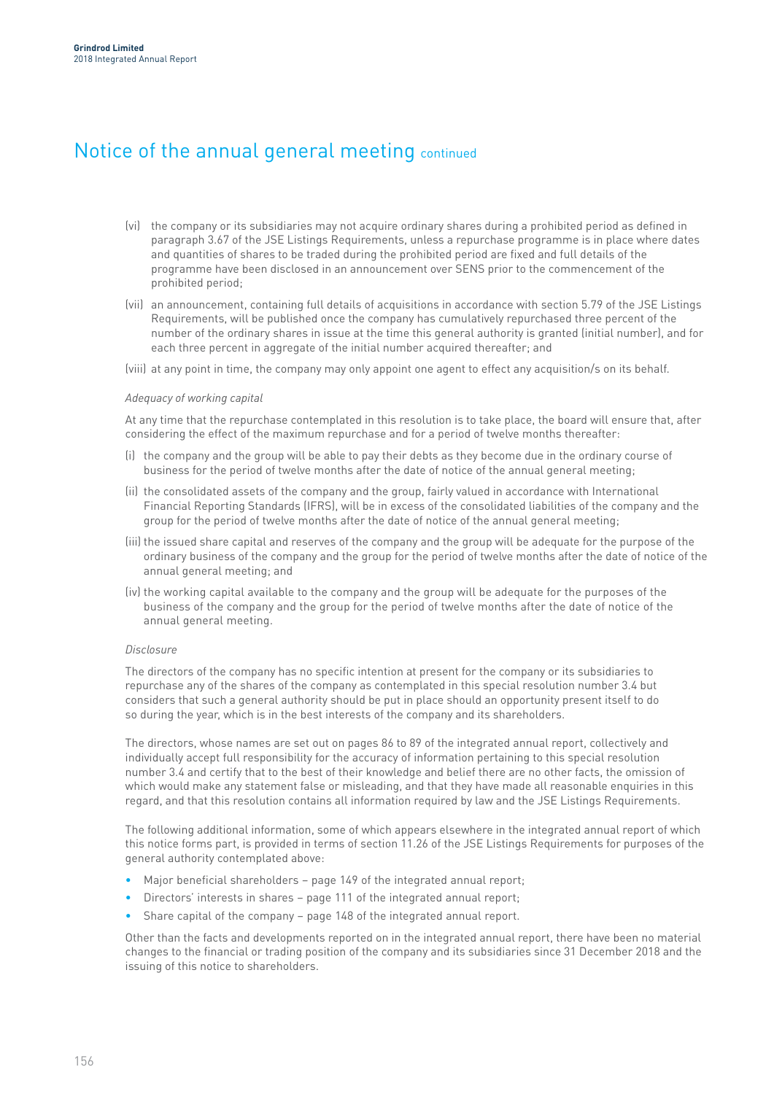## Notice of the annual general meeting continued

- (vi) the company or its subsidiaries may not acquire ordinary shares during a prohibited period as defined in paragraph 3.67 of the JSE Listings Requirements, unless a repurchase programme is in place where dates and quantities of shares to be traded during the prohibited period are fixed and full details of the programme have been disclosed in an announcement over SENS prior to the commencement of the prohibited period;
- (vii) an announcement, containing full details of acquisitions in accordance with section 5.79 of the JSE Listings Requirements, will be published once the company has cumulatively repurchased three percent of the number of the ordinary shares in issue at the time this general authority is granted (initial number), and for each three percent in aggregate of the initial number acquired thereafter; and

(viii) at any point in time, the company may only appoint one agent to effect any acquisition/s on its behalf.

### *Adequacy of working capital*

At any time that the repurchase contemplated in this resolution is to take place, the board will ensure that, after considering the effect of the maximum repurchase and for a period of twelve months thereafter:

- (i) the company and the group will be able to pay their debts as they become due in the ordinary course of business for the period of twelve months after the date of notice of the annual general meeting;
- (ii) the consolidated assets of the company and the group, fairly valued in accordance with International Financial Reporting Standards (IFRS), will be in excess of the consolidated liabilities of the company and the group for the period of twelve months after the date of notice of the annual general meeting;
- (iii) the issued share capital and reserves of the company and the group will be adequate for the purpose of the ordinary business of the company and the group for the period of twelve months after the date of notice of the annual general meeting; and
- (iv) the working capital available to the company and the group will be adequate for the purposes of the business of the company and the group for the period of twelve months after the date of notice of the annual general meeting.

### *Disclosure*

The directors of the company has no specific intention at present for the company or its subsidiaries to repurchase any of the shares of the company as contemplated in this special resolution number 3.4 but considers that such a general authority should be put in place should an opportunity present itself to do so during the year, which is in the best interests of the company and its shareholders.

The directors, whose names are set out on pages 86 to 89 of the integrated annual report, collectively and individually accept full responsibility for the accuracy of information pertaining to this special resolution number 3.4 and certify that to the best of their knowledge and belief there are no other facts, the omission of which would make any statement false or misleading, and that they have made all reasonable enquiries in this regard, and that this resolution contains all information required by law and the JSE Listings Requirements.

The following additional information, some of which appears elsewhere in the integrated annual report of which this notice forms part, is provided in terms of section 11.26 of the JSE Listings Requirements for purposes of the general authority contemplated above:

- Major beneficial shareholders page 149 of the integrated annual report:
- Directors' interests in shares page 111 of the integrated annual report;
- Share capital of the company page 148 of the integrated annual report.

Other than the facts and developments reported on in the integrated annual report, there have been no material changes to the financial or trading position of the company and its subsidiaries since 31 December 2018 and the issuing of this notice to shareholders.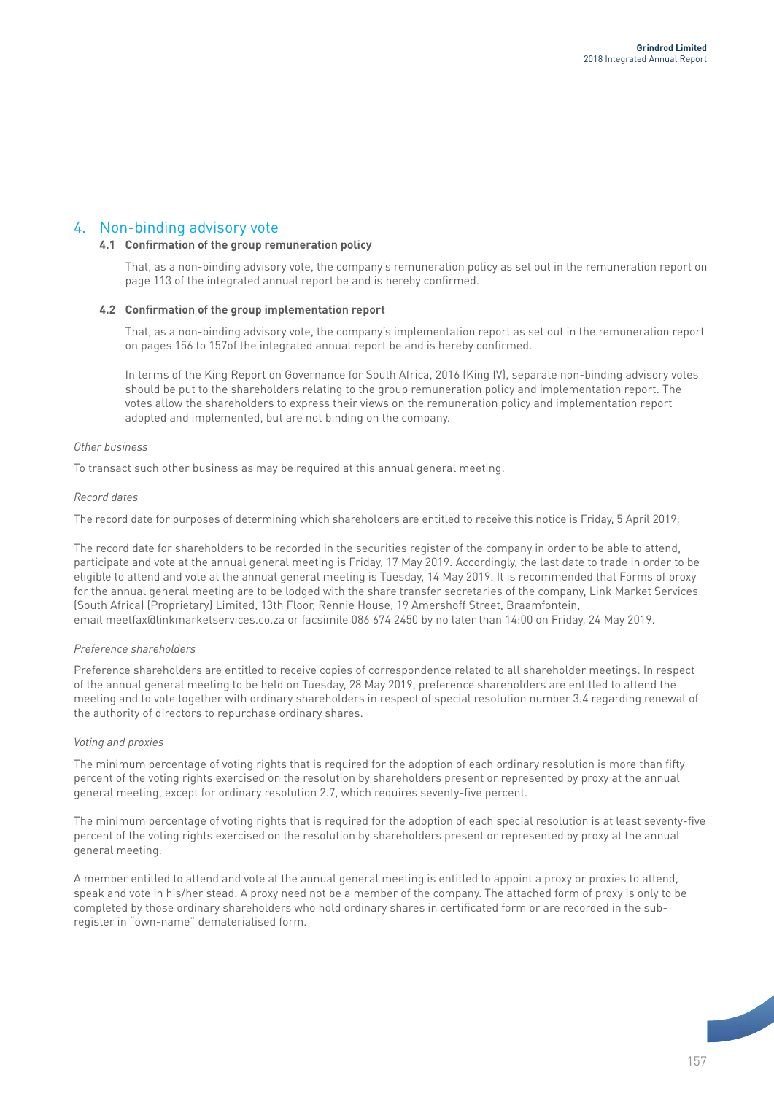## 4. Non-binding advisory vote

## **4.1 Confirmation of the group remuneration policy**

That, as a non-binding advisory vote, the company's remuneration policy as set out in the remuneration report on page 113 of the integrated annual report be and is hereby confirmed.

### **4.2 Confirmation of the group implementation report**

That, as a non-binding advisory vote, the company's implementation report as set out in the remuneration report on pages 156 to 157of the integrated annual report be and is hereby confirmed.

In terms of the King Report on Governance for South Africa, 2016 (King IV), separate non-binding advisory votes should be put to the shareholders relating to the group remuneration policy and implementation report. The votes allow the shareholders to express their views on the remuneration policy and implementation report adopted and implemented, but are not binding on the company.

## *Other business*

To transact such other business as may be required at this annual general meeting.

### *Record dates*

The record date for purposes of determining which shareholders are entitled to receive this notice is Friday, 5 April 2019.

The record date for shareholders to be recorded in the securities register of the company in order to be able to attend, participate and vote at the annual general meeting is Friday, 17 May 2019. Accordingly, the last date to trade in order to be eligible to attend and vote at the annual general meeting is Tuesday, 14 May 2019. It is recommended that Forms of proxy for the annual general meeting are to be lodged with the share transfer secretaries of the company, Link Market Services (South Africa) (Proprietary) Limited, 13th Floor, Rennie House, 19 Amershoff Street, Braamfontein, email meetfax@linkmarketservices.co.za or facsimile 086 674 2450 by no later than 14:00 on Friday, 24 May 2019.

### *Preference shareholders*

Preference shareholders are entitled to receive copies of correspondence related to all shareholder meetings. In respect of the annual general meeting to be held on Tuesday, 28 May 2019, preference shareholders are entitled to attend the meeting and to vote together with ordinary shareholders in respect of special resolution number 3.4 regarding renewal of the authority of directors to repurchase ordinary shares.

### *Voting and proxies*

The minimum percentage of voting rights that is required for the adoption of each ordinary resolution is more than fifty percent of the voting rights exercised on the resolution by shareholders present or represented by proxy at the annual general meeting, except for ordinary resolution 2.7, which requires seventy-five percent.

The minimum percentage of voting rights that is required for the adoption of each special resolution is at least seventy-five percent of the voting rights exercised on the resolution by shareholders present or represented by proxy at the annual general meeting.

A member entitled to attend and vote at the annual general meeting is entitled to appoint a proxy or proxies to attend, speak and vote in his/her stead. A proxy need not be a member of the company. The attached form of proxy is only to be completed by those ordinary shareholders who hold ordinary shares in certificated form or are recorded in the subregister in "own-name" dematerialised form.